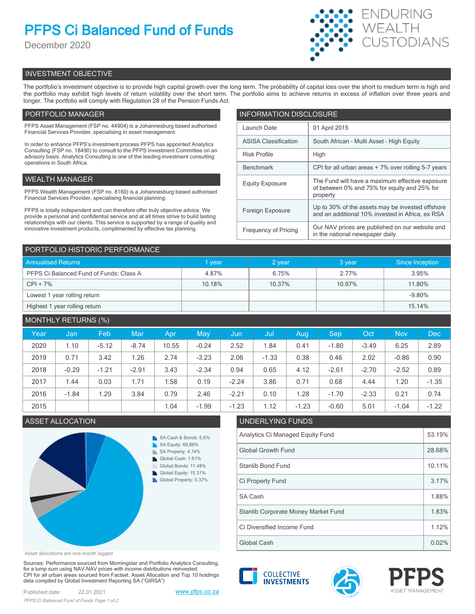# **PFPS Ci Balanced Fund of Funds**

December 2020



## INVESTMENT OBJECTIVE

The portfolio's investment objective is to provide high capital growth over the long term. The probability of capital loss over the short to medium term is high and the portfolio may exhibit high levels of return volatility over the short term. The portfolio aims to achieve returns in excess of inflation over three years and longer. The portfolio will comply with Regulation 28 of the Pension Funds Act.

## PORTFOLIO MANAGER

PFPS Asset Management (FSP no. 44904) is a Johannesburg based authorised Financial Services Provider, specialising in asset management.

In order to enhance PFPS's investment process PFPS has appointed Analytics Consulting (FSP no. 18490) to consult to the PFPS Investment Committee on an advisory basis. Analytics Consulting is one of the leading investment consulting operations in South Africa.

## WEALTH MANAGER

PFPS Wealth Management (FSP no. 8160) is a Johannesburg based authorised Financial Services Provider, specialising financial planning.

PFPS is totally independent and can therefore offer truly objective advice. We provide a personal and confidential service and at all times strive to build lasting relationships with our clients. This service is supported by a range of quality and innovative investment products, complimented by effective tax planning.

| <b>INFORMATION DISCLOSURE</b> |                                                                                                             |  |  |  |
|-------------------------------|-------------------------------------------------------------------------------------------------------------|--|--|--|
| Launch Date                   | 01 April 2015                                                                                               |  |  |  |
| <b>ASISA Classification</b>   | South African - Multi Asset - High Equity                                                                   |  |  |  |
| <b>Risk Profile</b>           | High                                                                                                        |  |  |  |
| <b>Benchmark</b>              | CPI for all urban areas + 7% over rolling 5-7 years                                                         |  |  |  |
| <b>Equity Exposure</b>        | The Fund will have a maximum effective exposure<br>of between 0% and 75% for equity and 25% for<br>property |  |  |  |
| Foreign Exposure              | Up to 30% of the assets may be invested offshore<br>and an additional 10% invested in Africa, ex RSA        |  |  |  |
| <b>Frequency of Pricing</b>   | Our NAV prices are published on our website and<br>in the national newspaper daily                          |  |  |  |

| PORTFOLIO HISTORIC PERFORMANCE          |        |        |        |                 |  |  |
|-----------------------------------------|--------|--------|--------|-----------------|--|--|
| <b>Annualised Returns</b>               | 1 year | 2 year | 3 year | Since Inception |  |  |
| PFPS Ci Balanced Fund of Funds: Class A | 4.87%  | 6.75%  | 2.77%  | 3.95%           |  |  |
| $CPI + 7%$                              | 10.18% | 10.37% | 10.97% | 11.80%          |  |  |
| Lowest 1 year rolling return            |        |        |        | $-9.80%$        |  |  |
| Highest 1 year rolling return           |        |        |        | 15.14%          |  |  |

| <b>MONTHLY RETURNS (%)</b> |         |         |         |       |         |         |         |         |            |         |            |            |
|----------------------------|---------|---------|---------|-------|---------|---------|---------|---------|------------|---------|------------|------------|
| Year                       | Jan     | Feb     | Mar     | Apr   | May     | Jun     | Jul     | Aug     | <b>Sep</b> | Oct     | <b>Nov</b> | <b>Dec</b> |
| 2020                       | 1.10    | $-5.12$ | $-8.74$ | 10.55 | $-0.24$ | 2.52    | 1.84    | 0.41    | $-1.80$    | $-3.49$ | 6.25       | 2.89       |
| 2019                       | 0.71    | 3.42    | 1.26    | 2.74  | $-3.23$ | 2.06    | $-1.33$ | 0.38    | 0.46       | 2.02    | $-0.86$    | 0.90       |
| 2018                       | $-0.29$ | $-1.21$ | $-2.91$ | 3.43  | $-2.34$ | 0.94    | 0.65    | 4.12    | $-2.61$    | $-2.70$ | $-2.52$    | 0.89       |
| 2017                       | 1.44    | 0.03    | 1.71    | 1.58  | 0.19    | $-2.24$ | 3.86    | 0.71    | 0.68       | 4.44    | 1.20       | $-1.35$    |
| 2016                       | $-1.84$ | 1.29    | 3.84    | 0.79  | 2.46    | $-2.21$ | 0.10    | 1.28    | $-1.70$    | $-2.33$ | 0.21       | 0.74       |
| 2015                       |         |         |         | 1.04  | $-1.99$ | $-1.23$ | 1.12    | $-1.23$ | $-0.60$    | 5.01    | $-1.04$    | $-1.22$    |



## Asset allocations are one month lagged

Sources: Performance sourced from Morningstar and Portfolio Analytics Consulting, for a lump sum using NAV-NAV prices with income distributions reinvested. CPI for all urban areas sourced from Factset. Asset Allocation and Top 10 holdings data compiled by Global Investment Reporting SA ("GIRSA")

## ASSET ALLOCATION UNDERLYING FUNDS

| Analytics Ci Managed Equity Fund    |        |  |
|-------------------------------------|--------|--|
| <b>Global Growth Fund</b>           | 28.68% |  |
| Stanlib Bond Fund                   | 10.11% |  |
| Ci Property Fund                    | 3.17%  |  |
| SA Cash                             | 1.88%  |  |
| Stanlib Corporate Money Market Fund | 1.83%  |  |
| Ci Diversified Income Fund          | 1.12%  |  |
| Global Cash                         | 0.02%  |  |